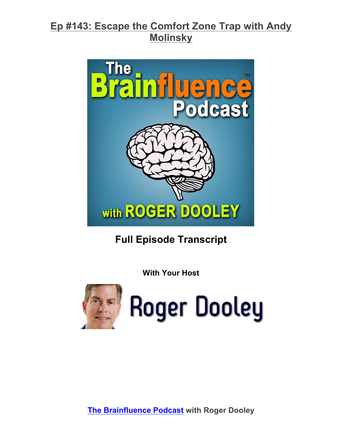

**Full Episode Transcript**

**With Your Host**



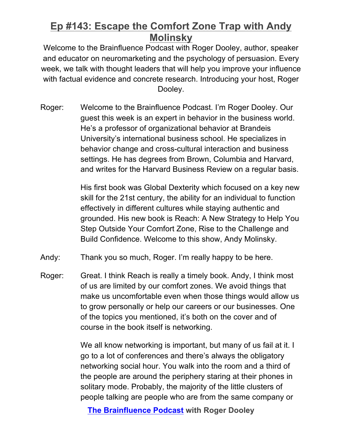Welcome to the Brainfluence Podcast with Roger Dooley, author, speaker and educator on neuromarketing and the psychology of persuasion. Every week, we talk with thought leaders that will help you improve your influence with factual evidence and concrete research. Introducing your host, Roger Dooley.

Roger: Welcome to the Brainfluence Podcast. I'm Roger Dooley. Our guest this week is an expert in behavior in the business world. He's a professor of organizational behavior at Brandeis University's international business school. He specializes in behavior change and cross-cultural interaction and business settings. He has degrees from Brown, Columbia and Harvard, and writes for the Harvard Business Review on a regular basis.

> His first book was Global Dexterity which focused on a key new skill for the 21st century, the ability for an individual to function effectively in different cultures while staying authentic and grounded. His new book is Reach: A New Strategy to Help You Step Outside Your Comfort Zone, Rise to the Challenge and Build Confidence. Welcome to this show, Andy Molinsky.

- Andy: Thank you so much, Roger. I'm really happy to be here.
- Roger: Great. I think Reach is really a timely book. Andy, I think most of us are limited by our comfort zones. We avoid things that make us uncomfortable even when those things would allow us to grow personally or help our careers or our businesses. One of the topics you mentioned, it's both on the cover and of course in the book itself is networking.

We all know networking is important, but many of us fail at it. I go to a lot of conferences and there's always the obligatory networking social hour. You walk into the room and a third of the people are around the periphery staring at their phones in solitary mode. Probably, the majority of the little clusters of people talking are people who are from the same company or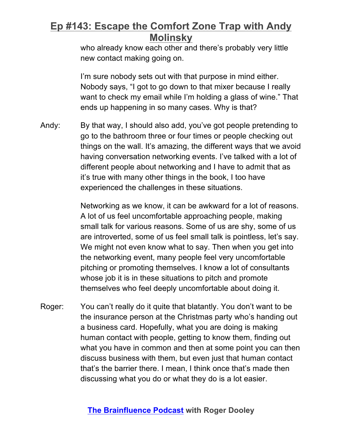who already know each other and there's probably very little new contact making going on.

I'm sure nobody sets out with that purpose in mind either. Nobody says, "I got to go down to that mixer because I really want to check my email while I'm holding a glass of wine." That ends up happening in so many cases. Why is that?

Andy: By that way, I should also add, you've got people pretending to go to the bathroom three or four times or people checking out things on the wall. It's amazing, the different ways that we avoid having conversation networking events. I've talked with a lot of different people about networking and I have to admit that as it's true with many other things in the book, I too have experienced the challenges in these situations.

> Networking as we know, it can be awkward for a lot of reasons. A lot of us feel uncomfortable approaching people, making small talk for various reasons. Some of us are shy, some of us are introverted, some of us feel small talk is pointless, let's say. We might not even know what to say. Then when you get into the networking event, many people feel very uncomfortable pitching or promoting themselves. I know a lot of consultants whose job it is in these situations to pitch and promote themselves who feel deeply uncomfortable about doing it.

Roger: You can't really do it quite that blatantly. You don't want to be the insurance person at the Christmas party who's handing out a business card. Hopefully, what you are doing is making human contact with people, getting to know them, finding out what you have in common and then at some point you can then discuss business with them, but even just that human contact that's the barrier there. I mean, I think once that's made then discussing what you do or what they do is a lot easier.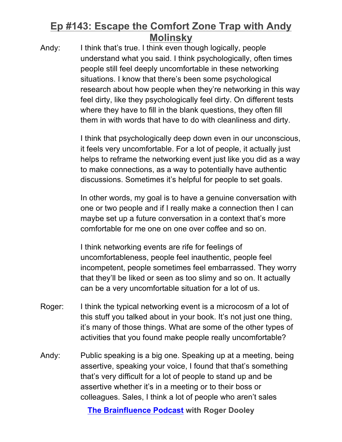Andy: I think that's true. I think even though logically, people understand what you said. I think psychologically, often times people still feel deeply uncomfortable in these networking situations. I know that there's been some psychological research about how people when they're networking in this way feel dirty, like they psychologically feel dirty. On different tests where they have to fill in the blank questions, they often fill them in with words that have to do with cleanliness and dirty.

> I think that psychologically deep down even in our unconscious, it feels very uncomfortable. For a lot of people, it actually just helps to reframe the networking event just like you did as a way to make connections, as a way to potentially have authentic discussions. Sometimes it's helpful for people to set goals.

In other words, my goal is to have a genuine conversation with one or two people and if I really make a connection then I can maybe set up a future conversation in a context that's more comfortable for me one on one over coffee and so on.

I think networking events are rife for feelings of uncomfortableness, people feel inauthentic, people feel incompetent, people sometimes feel embarrassed. They worry that they'll be liked or seen as too slimy and so on. It actually can be a very uncomfortable situation for a lot of us.

- Roger: I think the typical networking event is a microcosm of a lot of this stuff you talked about in your book. It's not just one thing, it's many of those things. What are some of the other types of activities that you found make people really uncomfortable?
- Andy: Public speaking is a big one. Speaking up at a meeting, being assertive, speaking your voice, I found that that's something that's very difficult for a lot of people to stand up and be assertive whether it's in a meeting or to their boss or colleagues. Sales, I think a lot of people who aren't sales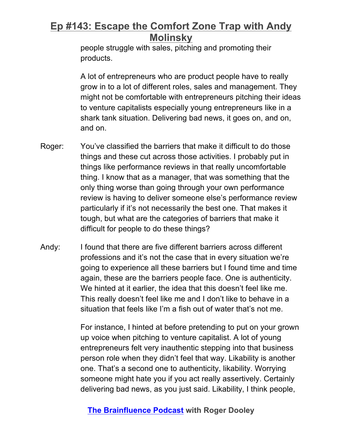people struggle with sales, pitching and promoting their products.

A lot of entrepreneurs who are product people have to really grow in to a lot of different roles, sales and management. They might not be comfortable with entrepreneurs pitching their ideas to venture capitalists especially young entrepreneurs like in a shark tank situation. Delivering bad news, it goes on, and on, and on.

- Roger: You've classified the barriers that make it difficult to do those things and these cut across those activities. I probably put in things like performance reviews in that really uncomfortable thing. I know that as a manager, that was something that the only thing worse than going through your own performance review is having to deliver someone else's performance review particularly if it's not necessarily the best one. That makes it tough, but what are the categories of barriers that make it difficult for people to do these things?
- Andy: I found that there are five different barriers across different professions and it's not the case that in every situation we're going to experience all these barriers but I found time and time again, these are the barriers people face. One is authenticity. We hinted at it earlier, the idea that this doesn't feel like me. This really doesn't feel like me and I don't like to behave in a situation that feels like I'm a fish out of water that's not me.

For instance, I hinted at before pretending to put on your grown up voice when pitching to venture capitalist. A lot of young entrepreneurs felt very inauthentic stepping into that business person role when they didn't feel that way. Likability is another one. That's a second one to authenticity, likability. Worrying someone might hate you if you act really assertively. Certainly delivering bad news, as you just said. Likability, I think people,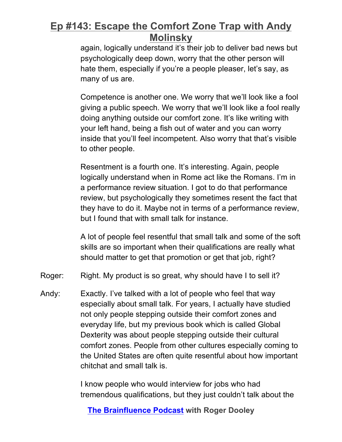again, logically understand it's their job to deliver bad news but psychologically deep down, worry that the other person will hate them, especially if you're a people pleaser, let's say, as many of us are.

Competence is another one. We worry that we'll look like a fool giving a public speech. We worry that we'll look like a fool really doing anything outside our comfort zone. It's like writing with your left hand, being a fish out of water and you can worry inside that you'll feel incompetent. Also worry that that's visible to other people.

Resentment is a fourth one. It's interesting. Again, people logically understand when in Rome act like the Romans. I'm in a performance review situation. I got to do that performance review, but psychologically they sometimes resent the fact that they have to do it. Maybe not in terms of a performance review, but I found that with small talk for instance.

A lot of people feel resentful that small talk and some of the soft skills are so important when their qualifications are really what should matter to get that promotion or get that job, right?

Roger: Right. My product is so great, why should have I to sell it?

Andy: Exactly. I've talked with a lot of people who feel that way especially about small talk. For years, I actually have studied not only people stepping outside their comfort zones and everyday life, but my previous book which is called Global Dexterity was about people stepping outside their cultural comfort zones. People from other cultures especially coming to the United States are often quite resentful about how important chitchat and small talk is.

> I know people who would interview for jobs who had tremendous qualifications, but they just couldn't talk about the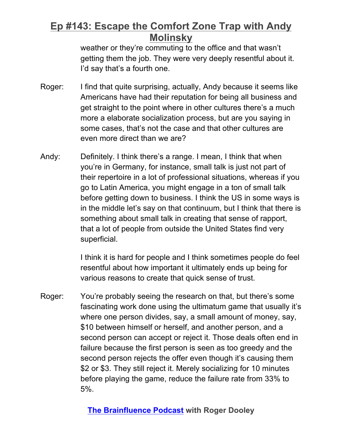weather or they're commuting to the office and that wasn't getting them the job. They were very deeply resentful about it. I'd say that's a fourth one.

- Roger: I find that quite surprising, actually, Andy because it seems like Americans have had their reputation for being all business and get straight to the point where in other cultures there's a much more a elaborate socialization process, but are you saying in some cases, that's not the case and that other cultures are even more direct than we are?
- Andy: Definitely. I think there's a range. I mean, I think that when you're in Germany, for instance, small talk is just not part of their repertoire in a lot of professional situations, whereas if you go to Latin America, you might engage in a ton of small talk before getting down to business. I think the US in some ways is in the middle let's say on that continuum, but I think that there is something about small talk in creating that sense of rapport, that a lot of people from outside the United States find very superficial.

I think it is hard for people and I think sometimes people do feel resentful about how important it ultimately ends up being for various reasons to create that quick sense of trust.

Roger: You're probably seeing the research on that, but there's some fascinating work done using the ultimatum game that usually it's where one person divides, say, a small amount of money, say, \$10 between himself or herself, and another person, and a second person can accept or reject it. Those deals often end in failure because the first person is seen as too greedy and the second person rejects the offer even though it's causing them \$2 or \$3. They still reject it. Merely socializing for 10 minutes before playing the game, reduce the failure rate from 33% to 5%.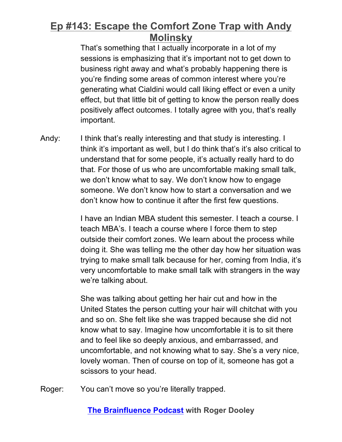That's something that I actually incorporate in a lot of my sessions is emphasizing that it's important not to get down to business right away and what's probably happening there is you're finding some areas of common interest where you're generating what Cialdini would call liking effect or even a unity effect, but that little bit of getting to know the person really does positively affect outcomes. I totally agree with you, that's really important.

Andy: I think that's really interesting and that study is interesting. I think it's important as well, but I do think that's it's also critical to understand that for some people, it's actually really hard to do that. For those of us who are uncomfortable making small talk, we don't know what to say. We don't know how to engage someone. We don't know how to start a conversation and we don't know how to continue it after the first few questions.

> I have an Indian MBA student this semester. I teach a course. I teach MBA's. I teach a course where I force them to step outside their comfort zones. We learn about the process while doing it. She was telling me the other day how her situation was trying to make small talk because for her, coming from India, it's very uncomfortable to make small talk with strangers in the way we're talking about.

She was talking about getting her hair cut and how in the United States the person cutting your hair will chitchat with you and so on. She felt like she was trapped because she did not know what to say. Imagine how uncomfortable it is to sit there and to feel like so deeply anxious, and embarrassed, and uncomfortable, and not knowing what to say. She's a very nice, lovely woman. Then of course on top of it, someone has got a scissors to your head.

Roger: You can't move so you're literally trapped.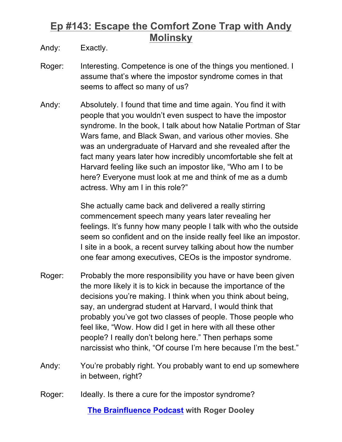Andy: Exactly.

- Roger: Interesting. Competence is one of the things you mentioned. I assume that's where the impostor syndrome comes in that seems to affect so many of us?
- Andy: Absolutely. I found that time and time again. You find it with people that you wouldn't even suspect to have the impostor syndrome. In the book, I talk about how Natalie Portman of Star Wars fame, and Black Swan, and various other movies. She was an undergraduate of Harvard and she revealed after the fact many years later how incredibly uncomfortable she felt at Harvard feeling like such an impostor like, "Who am I to be here? Everyone must look at me and think of me as a dumb actress. Why am I in this role?"

She actually came back and delivered a really stirring commencement speech many years later revealing her feelings. It's funny how many people I talk with who the outside seem so confident and on the inside really feel like an impostor. I site in a book, a recent survey talking about how the number one fear among executives, CEOs is the impostor syndrome.

- Roger: Probably the more responsibility you have or have been given the more likely it is to kick in because the importance of the decisions you're making. I think when you think about being, say, an undergrad student at Harvard, I would think that probably you've got two classes of people. Those people who feel like, "Wow. How did I get in here with all these other people? I really don't belong here." Then perhaps some narcissist who think, "Of course I'm here because I'm the best."
- Andy: You're probably right. You probably want to end up somewhere in between, right?
- Roger: Ideally. Is there a cure for the impostor syndrome?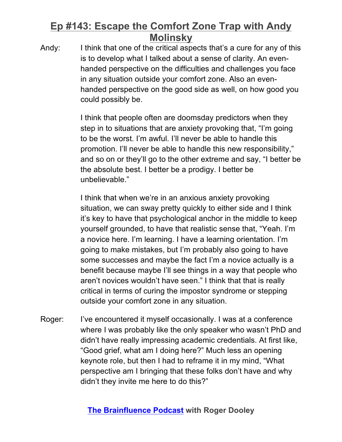Andy: I think that one of the critical aspects that's a cure for any of this is to develop what I talked about a sense of clarity. An evenhanded perspective on the difficulties and challenges you face in any situation outside your comfort zone. Also an evenhanded perspective on the good side as well, on how good you could possibly be.

> I think that people often are doomsday predictors when they step in to situations that are anxiety provoking that, "I'm going to be the worst. I'm awful. I'll never be able to handle this promotion. I'll never be able to handle this new responsibility," and so on or they'll go to the other extreme and say, "I better be the absolute best. I better be a prodigy. I better be unbelievable."

I think that when we're in an anxious anxiety provoking situation, we can sway pretty quickly to either side and I think it's key to have that psychological anchor in the middle to keep yourself grounded, to have that realistic sense that, "Yeah. I'm a novice here. I'm learning. I have a learning orientation. I'm going to make mistakes, but I'm probably also going to have some successes and maybe the fact I'm a novice actually is a benefit because maybe I'll see things in a way that people who aren't novices wouldn't have seen." I think that that is really critical in terms of curing the impostor syndrome or stepping outside your comfort zone in any situation.

Roger: I've encountered it myself occasionally. I was at a conference where I was probably like the only speaker who wasn't PhD and didn't have really impressing academic credentials. At first like, "Good grief, what am I doing here?" Much less an opening keynote role, but then I had to reframe it in my mind, "What perspective am I bringing that these folks don't have and why didn't they invite me here to do this?"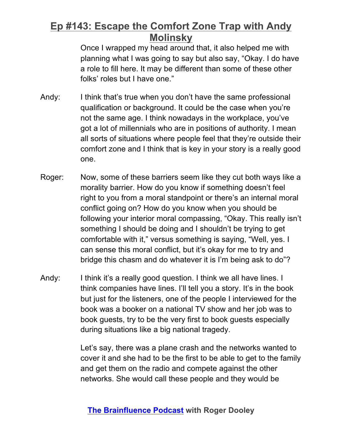Once I wrapped my head around that, it also helped me with planning what I was going to say but also say, "Okay. I do have a role to fill here. It may be different than some of these other folks' roles but I have one."

- Andy: I think that's true when you don't have the same professional qualification or background. It could be the case when you're not the same age. I think nowadays in the workplace, you've got a lot of millennials who are in positions of authority. I mean all sorts of situations where people feel that they're outside their comfort zone and I think that is key in your story is a really good one.
- Roger: Now, some of these barriers seem like they cut both ways like a morality barrier. How do you know if something doesn't feel right to you from a moral standpoint or there's an internal moral conflict going on? How do you know when you should be following your interior moral compassing, "Okay. This really isn't something I should be doing and I shouldn't be trying to get comfortable with it," versus something is saying, "Well, yes. I can sense this moral conflict, but it's okay for me to try and bridge this chasm and do whatever it is I'm being ask to do"?
- Andy: I think it's a really good question. I think we all have lines. I think companies have lines. I'll tell you a story. It's in the book but just for the listeners, one of the people I interviewed for the book was a booker on a national TV show and her job was to book guests, try to be the very first to book guests especially during situations like a big national tragedy.

Let's say, there was a plane crash and the networks wanted to cover it and she had to be the first to be able to get to the family and get them on the radio and compete against the other networks. She would call these people and they would be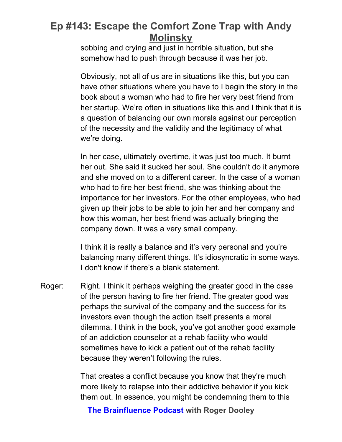sobbing and crying and just in horrible situation, but she somehow had to push through because it was her job.

Obviously, not all of us are in situations like this, but you can have other situations where you have to I begin the story in the book about a woman who had to fire her very best friend from her startup. We're often in situations like this and I think that it is a question of balancing our own morals against our perception of the necessity and the validity and the legitimacy of what we're doing.

In her case, ultimately overtime, it was just too much. It burnt her out. She said it sucked her soul. She couldn't do it anymore and she moved on to a different career. In the case of a woman who had to fire her best friend, she was thinking about the importance for her investors. For the other employees, who had given up their jobs to be able to join her and her company and how this woman, her best friend was actually bringing the company down. It was a very small company.

I think it is really a balance and it's very personal and you're balancing many different things. It's idiosyncratic in some ways. I don't know if there's a blank statement.

Roger: Right. I think it perhaps weighing the greater good in the case of the person having to fire her friend. The greater good was perhaps the survival of the company and the success for its investors even though the action itself presents a moral dilemma. I think in the book, you've got another good example of an addiction counselor at a rehab facility who would sometimes have to kick a patient out of the rehab facility because they weren't following the rules.

> That creates a conflict because you know that they're much more likely to relapse into their addictive behavior if you kick them out. In essence, you might be condemning them to this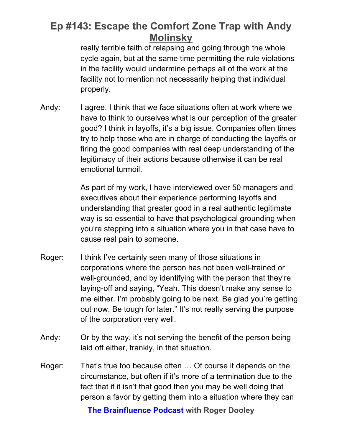really terrible faith of relapsing and going through the whole cycle again, but at the same time permitting the rule violations in the facility would undermine perhaps all of the work at the facility not to mention not necessarily helping that individual properly.

Andy: I agree. I think that we face situations often at work where we have to think to ourselves what is our perception of the greater good? I think in layoffs, it's a big issue. Companies often times try to help those who are in charge of conducting the layoffs or firing the good companies with real deep understanding of the legitimacy of their actions because otherwise it can be real emotional turmoil.

> As part of my work, I have interviewed over 50 managers and executives about their experience performing layoffs and understanding that greater good in a real authentic legitimate way is so essential to have that psychological grounding when you're stepping into a situation where you in that case have to cause real pain to someone.

- Roger: I think I've certainly seen many of those situations in corporations where the person has not been well-trained or well-grounded, and by identifying with the person that they're laying-off and saying, "Yeah. This doesn't make any sense to me either. I'm probably going to be next. Be glad you're getting out now. Be tough for later." It's not really serving the purpose of the corporation very well.
- Andy: Or by the way, it's not serving the benefit of the person being laid off either, frankly, in that situation.
- Roger: That's true too because often … Of course it depends on the circumstance, but often if it's more of a termination due to the fact that if it isn't that good then you may be well doing that person a favor by getting them into a situation where they can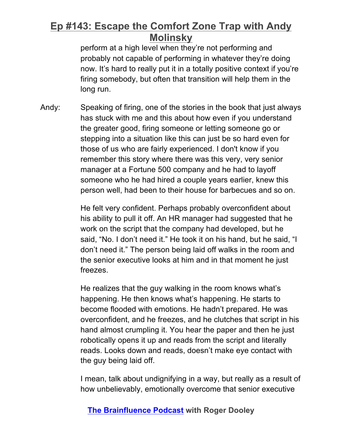perform at a high level when they're not performing and probably not capable of performing in whatever they're doing now. It's hard to really put it in a totally positive context if you're firing somebody, but often that transition will help them in the long run.

Andy: Speaking of firing, one of the stories in the book that just always has stuck with me and this about how even if you understand the greater good, firing someone or letting someone go or stepping into a situation like this can just be so hard even for those of us who are fairly experienced. I don't know if you remember this story where there was this very, very senior manager at a Fortune 500 company and he had to layoff someone who he had hired a couple years earlier, knew this person well, had been to their house for barbecues and so on.

> He felt very confident. Perhaps probably overconfident about his ability to pull it off. An HR manager had suggested that he work on the script that the company had developed, but he said, "No. I don't need it." He took it on his hand, but he said, "I don't need it." The person being laid off walks in the room and the senior executive looks at him and in that moment he just freezes.

> He realizes that the guy walking in the room knows what's happening. He then knows what's happening. He starts to become flooded with emotions. He hadn't prepared. He was overconfident, and he freezes, and he clutches that script in his hand almost crumpling it. You hear the paper and then he just robotically opens it up and reads from the script and literally reads. Looks down and reads, doesn't make eye contact with the guy being laid off.

> I mean, talk about undignifying in a way, but really as a result of how unbelievably, emotionally overcome that senior executive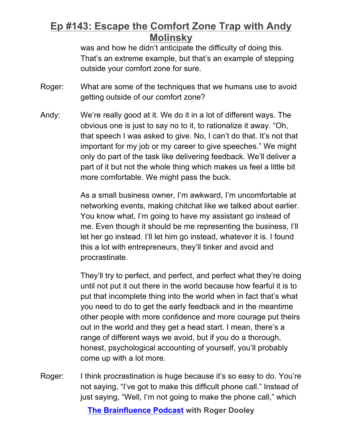was and how he didn't anticipate the difficulty of doing this. That's an extreme example, but that's an example of stepping outside your comfort zone for sure.

- Roger: What are some of the techniques that we humans use to avoid getting outside of our comfort zone?
- Andy: We're really good at it. We do it in a lot of different ways. The obvious one is just to say no to it, to rationalize it away. "Oh, that speech I was asked to give. No, I can't do that. It's not that important for my job or my career to give speeches." We might only do part of the task like delivering feedback. We'll deliver a part of it but not the whole thing which makes us feel a little bit more comfortable. We might pass the buck.

As a small business owner, I'm awkward, I'm uncomfortable at networking events, making chitchat like we talked about earlier. You know what, I'm going to have my assistant go instead of me. Even though it should be me representing the business, I'll let her go instead. I'll let him go instead, whatever it is. I found this a lot with entrepreneurs, they'll tinker and avoid and procrastinate.

They'll try to perfect, and perfect, and perfect what they're doing until not put it out there in the world because how fearful it is to put that incomplete thing into the world when in fact that's what you need to do to get the early feedback and in the meantime other people with more confidence and more courage put theirs out in the world and they get a head start. I mean, there's a range of different ways we avoid, but if you do a thorough, honest, psychological accounting of yourself, you'll probably come up with a lot more.

Roger: I think procrastination is huge because it's so easy to do. You're not saying, "I've got to make this difficult phone call." Instead of just saying, "Well, I'm not going to make the phone call," which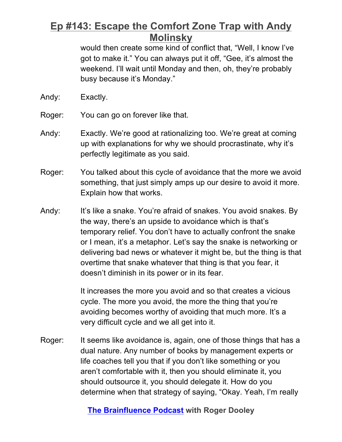would then create some kind of conflict that, "Well, I know I've got to make it." You can always put it off, "Gee, it's almost the weekend. I'll wait until Monday and then, oh, they're probably busy because it's Monday."

- Andy: Exactly.
- Roger: You can go on forever like that.
- Andy: Exactly. We're good at rationalizing too. We're great at coming up with explanations for why we should procrastinate, why it's perfectly legitimate as you said.
- Roger: You talked about this cycle of avoidance that the more we avoid something, that just simply amps up our desire to avoid it more. Explain how that works.
- Andy: It's like a snake. You're afraid of snakes. You avoid snakes. By the way, there's an upside to avoidance which is that's temporary relief. You don't have to actually confront the snake or I mean, it's a metaphor. Let's say the snake is networking or delivering bad news or whatever it might be, but the thing is that overtime that snake whatever that thing is that you fear, it doesn't diminish in its power or in its fear.

It increases the more you avoid and so that creates a vicious cycle. The more you avoid, the more the thing that you're avoiding becomes worthy of avoiding that much more. It's a very difficult cycle and we all get into it.

Roger: It seems like avoidance is, again, one of those things that has a dual nature. Any number of books by management experts or life coaches tell you that if you don't like something or you aren't comfortable with it, then you should eliminate it, you should outsource it, you should delegate it. How do you determine when that strategy of saying, "Okay. Yeah, I'm really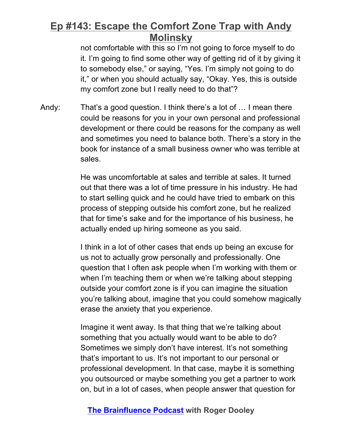not comfortable with this so I'm not going to force myself to do it. I'm going to find some other way of getting rid of it by giving it to somebody else," or saying, "Yes. I'm simply not going to do it," or when you should actually say, "Okay. Yes, this is outside my comfort zone but I really need to do that"?

Andy: That's a good question. I think there's a lot of … I mean there could be reasons for you in your own personal and professional development or there could be reasons for the company as well and sometimes you need to balance both. There's a story in the book for instance of a small business owner who was terrible at sales.

> He was uncomfortable at sales and terrible at sales. It turned out that there was a lot of time pressure in his industry. He had to start selling quick and he could have tried to embark on this process of stepping outside his comfort zone, but he realized that for time's sake and for the importance of his business, he actually ended up hiring someone as you said.

I think in a lot of other cases that ends up being an excuse for us not to actually grow personally and professionally. One question that I often ask people when I'm working with them or when I'm teaching them or when we're talking about stepping outside your comfort zone is if you can imagine the situation you're talking about, imagine that you could somehow magically erase the anxiety that you experience.

Imagine it went away. Is that thing that we're talking about something that you actually would want to be able to do? Sometimes we simply don't have interest. It's not something that's important to us. It's not important to our personal or professional development. In that case, maybe it is something you outsourced or maybe something you get a partner to work on, but in a lot of cases, when people answer that question for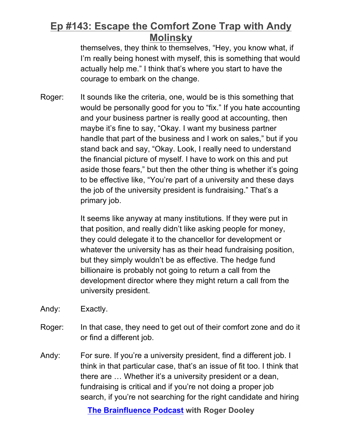themselves, they think to themselves, "Hey, you know what, if I'm really being honest with myself, this is something that would actually help me." I think that's where you start to have the courage to embark on the change.

Roger: It sounds like the criteria, one, would be is this something that would be personally good for you to "fix." If you hate accounting and your business partner is really good at accounting, then maybe it's fine to say, "Okay. I want my business partner handle that part of the business and I work on sales," but if you stand back and say, "Okay. Look, I really need to understand the financial picture of myself. I have to work on this and put aside those fears," but then the other thing is whether it's going to be effective like, "You're part of a university and these days the job of the university president is fundraising." That's a primary job.

> It seems like anyway at many institutions. If they were put in that position, and really didn't like asking people for money, they could delegate it to the chancellor for development or whatever the university has as their head fundraising position, but they simply wouldn't be as effective. The hedge fund billionaire is probably not going to return a call from the development director where they might return a call from the university president.

- Andy: Exactly.
- Roger: In that case, they need to get out of their comfort zone and do it or find a different job.
- Andy: For sure. If you're a university president, find a different job. I think in that particular case, that's an issue of fit too. I think that there are … Whether it's a university president or a dean, fundraising is critical and if you're not doing a proper job search, if you're not searching for the right candidate and hiring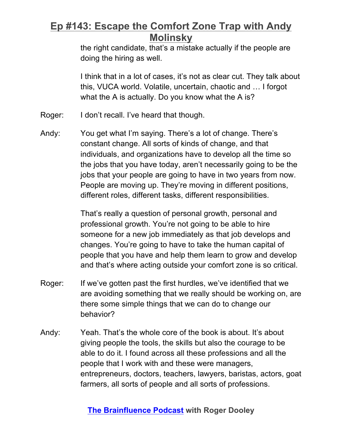the right candidate, that's a mistake actually if the people are doing the hiring as well.

I think that in a lot of cases, it's not as clear cut. They talk about this, VUCA world. Volatile, uncertain, chaotic and … I forgot what the A is actually. Do you know what the A is?

- Roger: I don't recall. I've heard that though.
- Andy: You get what I'm saying. There's a lot of change. There's constant change. All sorts of kinds of change, and that individuals, and organizations have to develop all the time so the jobs that you have today, aren't necessarily going to be the jobs that your people are going to have in two years from now. People are moving up. They're moving in different positions, different roles, different tasks, different responsibilities.

That's really a question of personal growth, personal and professional growth. You're not going to be able to hire someone for a new job immediately as that job develops and changes. You're going to have to take the human capital of people that you have and help them learn to grow and develop and that's where acting outside your comfort zone is so critical.

- Roger: If we've gotten past the first hurdles, we've identified that we are avoiding something that we really should be working on, are there some simple things that we can do to change our behavior?
- Andy: Yeah. That's the whole core of the book is about. It's about giving people the tools, the skills but also the courage to be able to do it. I found across all these professions and all the people that I work with and these were managers, entrepreneurs, doctors, teachers, lawyers, baristas, actors, goat farmers, all sorts of people and all sorts of professions.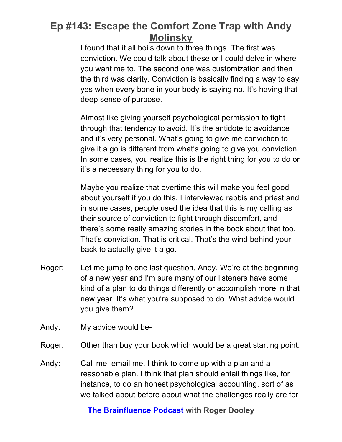I found that it all boils down to three things. The first was conviction. We could talk about these or I could delve in where you want me to. The second one was customization and then the third was clarity. Conviction is basically finding a way to say yes when every bone in your body is saying no. It's having that deep sense of purpose.

Almost like giving yourself psychological permission to fight through that tendency to avoid. It's the antidote to avoidance and it's very personal. What's going to give me conviction to give it a go is different from what's going to give you conviction. In some cases, you realize this is the right thing for you to do or it's a necessary thing for you to do.

Maybe you realize that overtime this will make you feel good about yourself if you do this. I interviewed rabbis and priest and in some cases, people used the idea that this is my calling as their source of conviction to fight through discomfort, and there's some really amazing stories in the book about that too. That's conviction. That is critical. That's the wind behind your back to actually give it a go.

- Roger: Let me jump to one last question, Andy. We're at the beginning of a new year and I'm sure many of our listeners have some kind of a plan to do things differently or accomplish more in that new year. It's what you're supposed to do. What advice would you give them?
- Andy: My advice would be-
- Roger: Other than buy your book which would be a great starting point.
- Andy: Call me, email me. I think to come up with a plan and a reasonable plan. I think that plan should entail things like, for instance, to do an honest psychological accounting, sort of as we talked about before about what the challenges really are for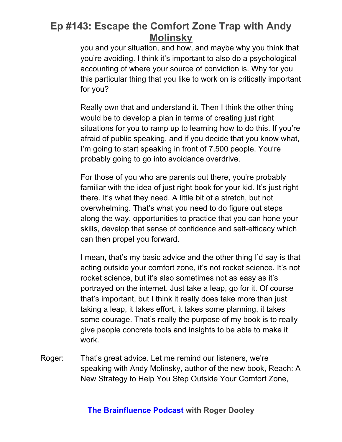you and your situation, and how, and maybe why you think that you're avoiding. I think it's important to also do a psychological accounting of where your source of conviction is. Why for you this particular thing that you like to work on is critically important for you?

Really own that and understand it. Then I think the other thing would be to develop a plan in terms of creating just right situations for you to ramp up to learning how to do this. If you're afraid of public speaking, and if you decide that you know what, I'm going to start speaking in front of 7,500 people. You're probably going to go into avoidance overdrive.

For those of you who are parents out there, you're probably familiar with the idea of just right book for your kid. It's just right there. It's what they need. A little bit of a stretch, but not overwhelming. That's what you need to do figure out steps along the way, opportunities to practice that you can hone your skills, develop that sense of confidence and self-efficacy which can then propel you forward.

I mean, that's my basic advice and the other thing I'd say is that acting outside your comfort zone, it's not rocket science. It's not rocket science, but it's also sometimes not as easy as it's portrayed on the internet. Just take a leap, go for it. Of course that's important, but I think it really does take more than just taking a leap, it takes effort, it takes some planning, it takes some courage. That's really the purpose of my book is to really give people concrete tools and insights to be able to make it work.

Roger: That's great advice. Let me remind our listeners, we're speaking with Andy Molinsky, author of the new book, Reach: A New Strategy to Help You Step Outside Your Comfort Zone,